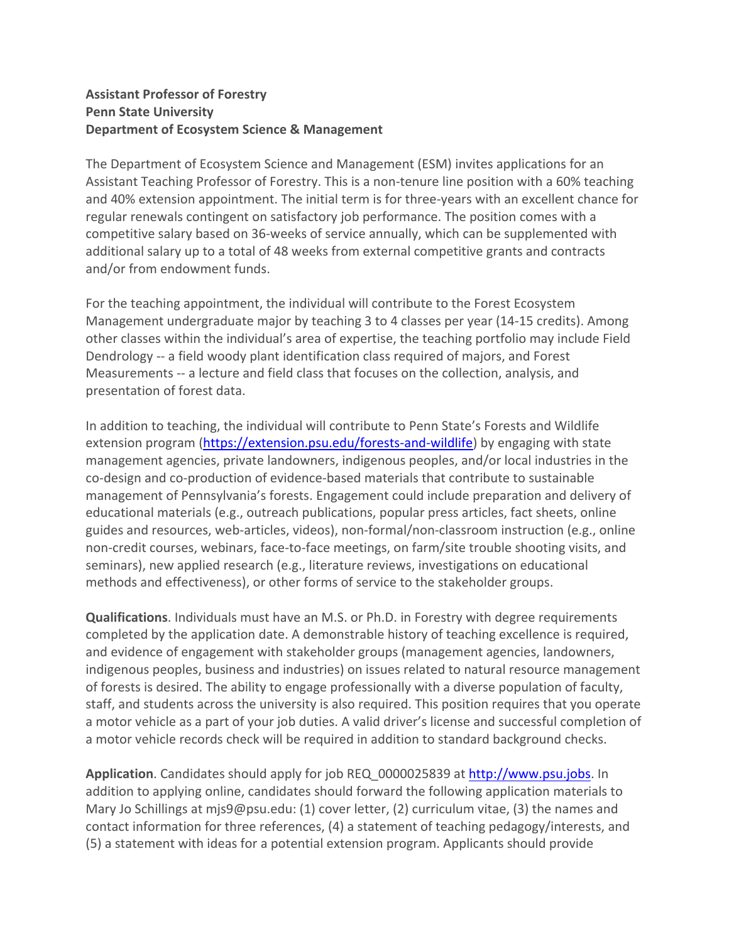## **Assistant Professor of Forestry Penn State University Department of Ecosystem Science & Management**

The Department of Ecosystem Science and Management (ESM) invites applications for an Assistant Teaching Professor of Forestry. This is a non‐tenure line position with a 60% teaching and 40% extension appointment. The initial term is for three‐years with an excellent chance for regular renewals contingent on satisfactory job performance. The position comes with a competitive salary based on 36‐weeks of service annually, which can be supplemented with additional salary up to a total of 48 weeks from external competitive grants and contracts and/or from endowment funds.

For the teaching appointment, the individual will contribute to the Forest Ecosystem Management undergraduate major by teaching 3 to 4 classes per year (14‐15 credits). Among other classes within the individual's area of expertise, the teaching portfolio may include Field Dendrology ‐‐ a field woody plant identification class required of majors, and Forest Measurements ‐‐ a lecture and field class that focuses on the collection, analysis, and presentation of forest data.

In addition to teaching, the individual will contribute to Penn State's Forests and Wildlife extension program (https://extension.psu.edu/forests-and-wildlife) by engaging with state management agencies, private landowners, indigenous peoples, and/or local industries in the co‐design and co‐production of evidence‐based materials that contribute to sustainable management of Pennsylvania's forests. Engagement could include preparation and delivery of educational materials (e.g., outreach publications, popular press articles, fact sheets, online guides and resources, web‐articles, videos), non‐formal/non‐classroom instruction (e.g., online non-credit courses, webinars, face-to-face meetings, on farm/site trouble shooting visits, and seminars), new applied research (e.g., literature reviews, investigations on educational methods and effectiveness), or other forms of service to the stakeholder groups.

**Qualifications**. Individuals must have an M.S. or Ph.D. in Forestry with degree requirements completed by the application date. A demonstrable history of teaching excellence is required, and evidence of engagement with stakeholder groups (management agencies, landowners, indigenous peoples, business and industries) on issues related to natural resource management of forests is desired. The ability to engage professionally with a diverse population of faculty, staff, and students across the university is also required. This position requires that you operate a motor vehicle as a part of your job duties. A valid driver's license and successful completion of a motor vehicle records check will be required in addition to standard background checks.

**Application**. Candidates should apply for job REQ\_0000025839 at http://www.psu.jobs. In addition to applying online, candidates should forward the following application materials to Mary Jo Schillings at mjs9@psu.edu: (1) cover letter, (2) curriculum vitae, (3) the names and contact information for three references, (4) a statement of teaching pedagogy/interests, and (5) a statement with ideas for a potential extension program. Applicants should provide